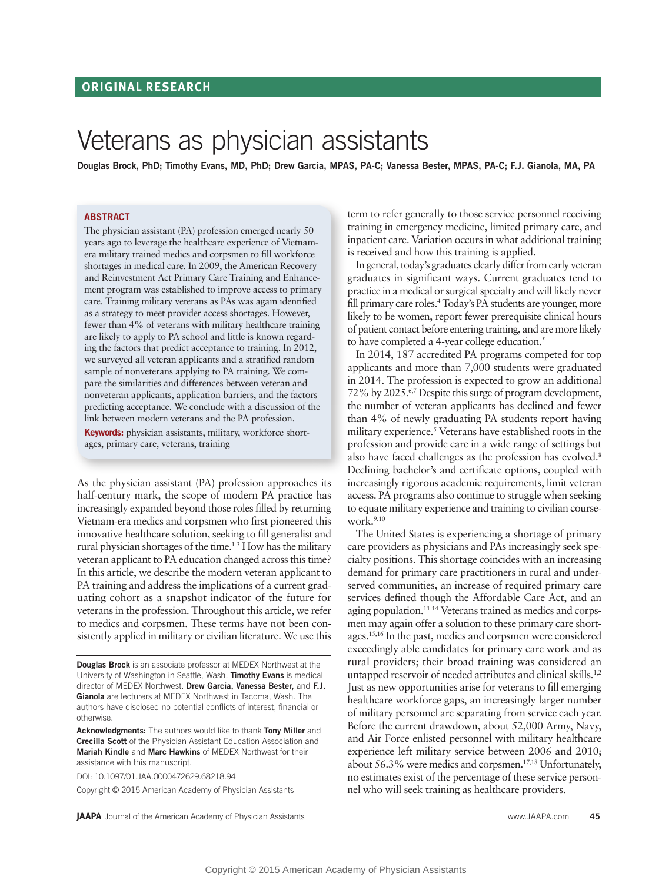# **ORIGINAL RESEARCH**

# Veterans as physician assistants

**Douglas Brock, PhD; Timothy Evans, MD, PhD; Drew Garcia, MPAS, PA-C; Vanessa Bester, MPAS, PA-C; F.J. Gianola, MA, PA**

# **ABSTRACT**

The physician assistant (PA) profession emerged nearly 50 years ago to leverage the healthcare experience of Vietnamera military trained medics and corpsmen to fill workforce shortages in medical care. In 2009, the American Recovery and Reinvestment Act Primary Care Training and Enhancement program was established to improve access to primary care. Training military veterans as PAs was again identified as a strategy to meet provider access shortages. However, fewer than 4% of veterans with military healthcare training are likely to apply to PA school and little is known regarding the factors that predict acceptance to training. In 2012, we surveyed all veteran applicants and a stratified random sample of nonveterans applying to PA training. We compare the similarities and differences between veteran and nonveteran applicants, application barriers, and the factors predicting acceptance. We conclude with a discussion of the link between modern veterans and the PA profession.

**Keywords:** physician assistants, military, workforce shortages, primary care, veterans, training

As the physician assistant (PA) profession approaches its half-century mark, the scope of modern PA practice has increasingly expanded beyond those roles filled by returning Vietnam-era medics and corpsmen who first pioneered this innovative healthcare solution, seeking to fill generalist and rural physician shortages of the time.<sup>1-3</sup> How has the military veteran applicant to PA education changed across this time? In this article, we describe the modern veteran applicant to PA training and address the implications of a current graduating cohort as a snapshot indicator of the future for veterans in the profession. Throughout this article, we refer to medics and corpsmen. These terms have not been consistently applied in military or civilian literature. We use this

DOI: 10.1097/01.JAA.0000472629.68218.94

Copyright © 2015 American Academy of Physician Assistants

**JAAPA** Journal of the American Academy of Physician Assistants www.JAAPA.com **45**

term to refer generally to those service personnel receiving training in emergency medicine, limited primary care, and inpatient care. Variation occurs in what additional training is received and how this training is applied.

In general, today's graduates clearly differ from early veteran graduates in significant ways. Current graduates tend to practice in a medical or surgical specialty and will likely never fill primary care roles.<sup>4</sup> Today's PA students are younger, more likely to be women, report fewer prerequisite clinical hours of patient contact before entering training, and are more likely to have completed a 4-year college education.<sup>5</sup>

In 2014, 187 accredited PA programs competed for top applicants and more than 7,000 students were graduated in 2014. The profession is expected to grow an additional 72% by 2025.6,7 Despite this surge of program development, the number of veteran applicants has declined and fewer than 4% of newly graduating PA students report having military experience.5 Veterans have established roots in the profession and provide care in a wide range of settings but also have faced challenges as the profession has evolved.<sup>8</sup> Declining bachelor's and certificate options, coupled with increasingly rigorous academic requirements, limit veteran access. PA programs also continue to struggle when seeking to equate military experience and training to civilian coursework.<sup>9,10</sup>

The United States is experiencing a shortage of primary care providers as physicians and PAs increasingly seek specialty positions. This shortage coincides with an increasing demand for primary care practitioners in rural and underserved communities, an increase of required primary care services defined though the Affordable Care Act, and an aging population.11-14 Veterans trained as medics and corpsmen may again offer a solution to these primary care shortages.15,16 In the past, medics and corpsmen were considered exceedingly able candidates for primary care work and as rural providers; their broad training was considered an untapped reservoir of needed attributes and clinical skills.<sup>1,2</sup> Just as new opportunities arise for veterans to fill emerging healthcare workforce gaps, an increasingly larger number of military personnel are separating from service each year. Before the current drawdown, about 52,000 Army, Navy, and Air Force enlisted personnel with military healthcare experience left military service between 2006 and 2010; about 56.3% were medics and corpsmen.17,18 Unfortunately, no estimates exist of the percentage of these service personnel who will seek training as healthcare providers.

**Douglas Brock** is an associate professor at MEDEX Northwest at the University of Washington in Seattle, Wash. **Timothy Evans** is medical director of MEDEX Northwest. **Drew Garcia, Vanessa Bester,** and **F.J. Gianola** are lecturers at MEDEX Northwest in Tacoma, Wash. The authors have disclosed no potential conflicts of interest, financial or otherwise.

**Acknowledgments:** The authors would like to thank **Tony Miller** and **Crecilla Scott** of the Physician Assistant Education Association and **Mariah Kindle** and **Marc Hawkins** of MEDEX Northwest for their assistance with this manuscript.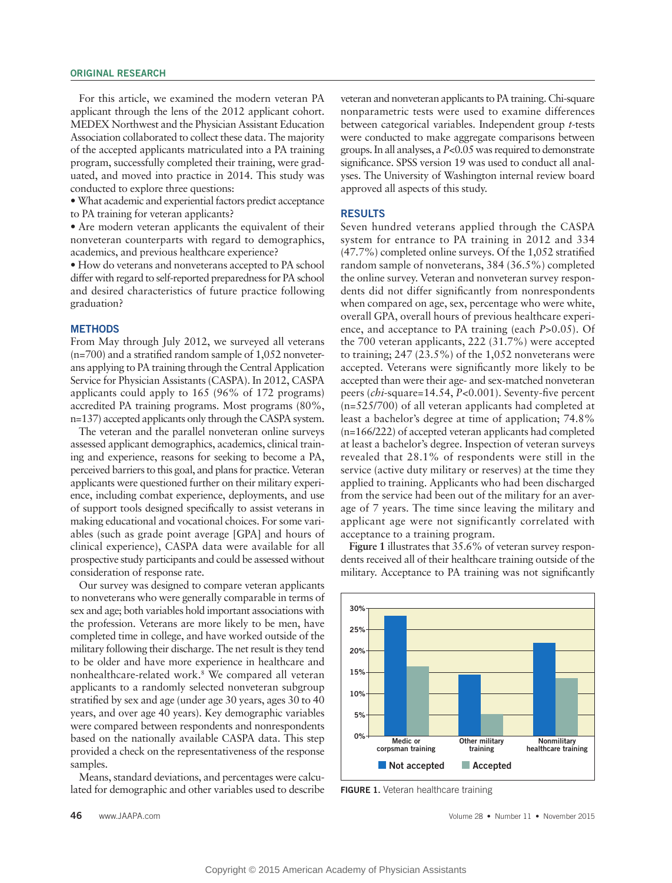#### **ORIGINAL RESEARCH**

For this article, we examined the modern veteran PA applicant through the lens of the 2012 applicant cohort. MEDEX Northwest and the Physician Assistant Education Association collaborated to collect these data. The majority of the accepted applicants matriculated into a PA training program, successfully completed their training, were graduated, and moved into practice in 2014. This study was conducted to explore three questions:

• What academic and experiential factors predict acceptance to PA training for veteran applicants?

• Are modern veteran applicants the equivalent of their nonveteran counterparts with regard to demographics, academics, and previous healthcare experience?

• How do veterans and nonveterans accepted to PA school differ with regard to self-reported preparedness for PA school and desired characteristics of future practice following graduation?

#### **METHODS**

From May through July 2012, we surveyed all veterans  $(n=700)$  and a stratified random sample of 1,052 nonveterans applying to PA training through the Central Application Service for Physician Assistants (CASPA). In 2012, CASPA applicants could apply to 165 (96% of 172 programs) accredited PA training programs. Most programs (80%, n=137) accepted applicants only through the CASPA system.

The veteran and the parallel nonveteran online surveys assessed applicant demographics, academics, clinical training and experience, reasons for seeking to become a PA, perceived barriers to this goal, and plans for practice. Veteran applicants were questioned further on their military experience, including combat experience, deployments, and use of support tools designed specifically to assist veterans in making educational and vocational choices. For some variables (such as grade point average [GPA] and hours of clinical experience), CASPA data were available for all prospective study participants and could be assessed without consideration of response rate.

Our survey was designed to compare veteran applicants to nonveterans who were generally comparable in terms of sex and age; both variables hold important associations with the profession. Veterans are more likely to be men, have completed time in college, and have worked outside of the military following their discharge. The net result is they tend to be older and have more experience in healthcare and nonhealthcare-related work.8 We compared all veteran applicants to a randomly selected nonveteran subgroup stratified by sex and age (under age 30 years, ages 30 to 40 years, and over age 40 years). Key demographic variables were compared between respondents and nonrespondents based on the nationally available CASPA data. This step provided a check on the representativeness of the response samples.

Means, standard deviations, and percentages were calculated for demographic and other variables used to describe veteran and nonveteran applicants to PA training. Chi-square nonparametric tests were used to examine differences between categorical variables. Independent group *t*-tests were conducted to make aggregate comparisons between groups. In all analyses, a *P*<0.05 was required to demonstrate significance. SPSS version 19 was used to conduct all analyses. The University of Washington internal review board approved all aspects of this study.

#### **RESULTS**

Seven hundred veterans applied through the CASPA system for entrance to PA training in 2012 and 334  $(47.7%)$  completed online surveys. Of the 1,052 stratified random sample of nonveterans, 384 (36.5%) completed the online survey. Veteran and nonveteran survey respondents did not differ significantly from nonrespondents when compared on age, sex, percentage who were white, overall GPA, overall hours of previous healthcare experience, and acceptance to PA training (each *P*>0.05). Of the 700 veteran applicants, 222 (31.7%) were accepted to training; 247 (23.5%) of the 1,052 nonveterans were accepted. Veterans were significantly more likely to be accepted than were their age- and sex-matched nonveteran peers (*chi*-square=14.54, *P*<0.001). Seventy-five percent (n=525/700) of all veteran applicants had completed at least a bachelor's degree at time of application; 74.8% (n=166/222) of accepted veteran applicants had completed at least a bachelor's degree. Inspection of veteran surveys revealed that 28.1% of respondents were still in the service (active duty military or reserves) at the time they applied to training. Applicants who had been discharged from the service had been out of the military for an average of 7 years. The time since leaving the military and applicant age were not significantly correlated with acceptance to a training program.

**Figure 1** illustrates that 35.6% of veteran survey respondents received all of their healthcare training outside of the military. Acceptance to PA training was not significantly



**FIGURE 1.** Veteran healthcare training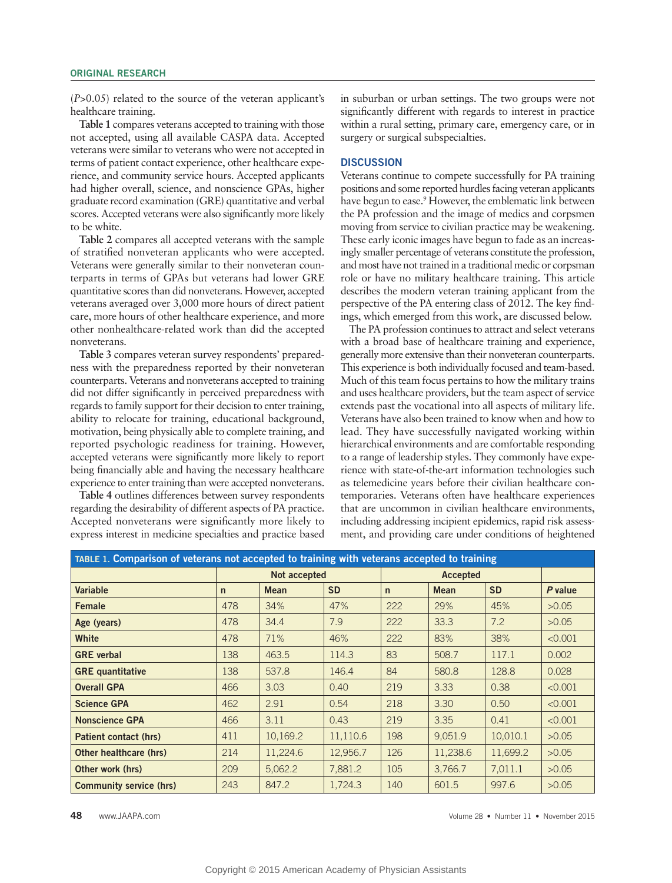(*P*>0.05) related to the source of the veteran applicant's healthcare training.

**Table 1** compares veterans accepted to training with those not accepted, using all available CASPA data. Accepted veterans were similar to veterans who were not accepted in terms of patient contact experience, other healthcare experience, and community service hours. Accepted applicants had higher overall, science, and nonscience GPAs, higher graduate record examination (GRE) quantitative and verbal scores. Accepted veterans were also significantly more likely to be white.

**Table 2** compares all accepted veterans with the sample of stratified nonveteran applicants who were accepted. Veterans were generally similar to their nonveteran counterparts in terms of GPAs but veterans had lower GRE quantitative scores than did nonveterans. However, accepted veterans averaged over 3,000 more hours of direct patient care, more hours of other healthcare experience, and more other nonhealthcare-related work than did the accepted nonveterans.

**Table 3** compares veteran survey respondents' preparedness with the preparedness reported by their nonveteran counterparts. Veterans and nonveterans accepted to training did not differ significantly in perceived preparedness with regards to family support for their decision to enter training, ability to relocate for training, educational background, motivation, being physically able to complete training, and reported psychologic readiness for training. However, accepted veterans were significantly more likely to report being financially able and having the necessary healthcare experience to enter training than were accepted nonveterans.

**Table 4** outlines differences between survey respondents regarding the desirability of different aspects of PA practice. Accepted nonveterans were significantly more likely to express interest in medicine specialties and practice based

in suburban or urban settings. The two groups were not significantly different with regards to interest in practice within a rural setting, primary care, emergency care, or in surgery or surgical subspecialties.

#### **DISCUSSION**

Veterans continue to compete successfully for PA training positions and some reported hurdles facing veteran applicants have begun to ease.9 However, the emblematic link between the PA profession and the image of medics and corpsmen moving from service to civilian practice may be weakening. These early iconic images have begun to fade as an increasingly smaller percentage of veterans constitute the profession, and most have not trained in a traditional medic or corpsman role or have no military healthcare training. This article describes the modern veteran training applicant from the perspective of the PA entering class of 2012. The key findings, which emerged from this work, are discussed below.

The PA profession continues to attract and select veterans with a broad base of healthcare training and experience, generally more extensive than their nonveteran counterparts. This experience is both individually focused and team-based. Much of this team focus pertains to how the military trains and uses healthcare providers, but the team aspect of service extends past the vocational into all aspects of military life. Veterans have also been trained to know when and how to lead. They have successfully navigated working within hierarchical environments and are comfortable responding to a range of leadership styles. They commonly have experience with state-of-the-art information technologies such as telemedicine years before their civilian healthcare contemporaries. Veterans often have healthcare experiences that are uncommon in civilian healthcare environments, including addressing incipient epidemics, rapid risk assessment, and providing care under conditions of heightened

| TABLE 1. Comparison of veterans not accepted to training with veterans accepted to training |              |             |           |              |             |           |         |  |
|---------------------------------------------------------------------------------------------|--------------|-------------|-----------|--------------|-------------|-----------|---------|--|
|                                                                                             | Not accepted |             |           |              |             |           |         |  |
| <b>Variable</b>                                                                             | $\mathsf{n}$ | <b>Mean</b> | <b>SD</b> | $\mathsf{n}$ | <b>Mean</b> | <b>SD</b> | P value |  |
| <b>Female</b>                                                                               | 478          | 34%         | 47%       | 222          | 29%         | 45%       | >0.05   |  |
| Age (years)                                                                                 | 478          | 34.4        | 7.9       | 222          | 33.3        | 7.2       | >0.05   |  |
| White                                                                                       | 478          | 71%         | 46%       | 222          | 83%         | 38%       | < 0.001 |  |
| <b>GRE</b> verbal                                                                           | 138          | 463.5       | 114.3     | 83           | 508.7       | 117.1     | 0.002   |  |
| <b>GRE</b> quantitative                                                                     | 138          | 537.8       | 146.4     | 84           | 580.8       | 128.8     | 0.028   |  |
| <b>Overall GPA</b>                                                                          | 466          | 3.03        | 0.40      | 219          | 3.33        | 0.38      | < 0.001 |  |
| <b>Science GPA</b>                                                                          | 462          | 2.91        | 0.54      | 218          | 3.30        | 0.50      | < 0.001 |  |
| <b>Nonscience GPA</b>                                                                       | 466          | 3.11        | 0.43      | 219          | 3.35        | 0.41      | < 0.001 |  |
| Patient contact (hrs)                                                                       | 411          | 10,169.2    | 11,110.6  | 198          | 9.051.9     | 10,010.1  | >0.05   |  |
| Other healthcare (hrs)                                                                      | 214          | 11,224.6    | 12,956.7  | 126          | 11,238.6    | 11,699.2  | >0.05   |  |
| Other work (hrs)                                                                            | 209          | 5,062.2     | 7,881.2   | 105          | 3,766.7     | 7,011.1   | >0.05   |  |
| <b>Community service (hrs)</b>                                                              | 243          | 847.2       | 1,724.3   | 140          | 601.5       | 997.6     | >0.05   |  |

**48** www.JAAPA.com Volume 28 • Number 11 • November 2015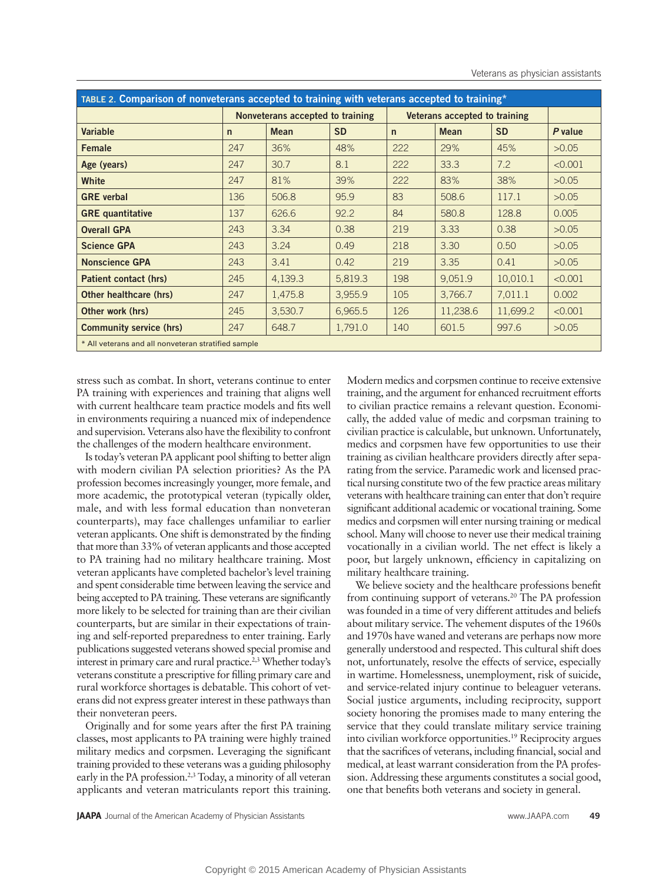| TABLE 2. Comparison of nonveterans accepted to training with veterans accepted to training* |                                  |             |           |                               |             |           |         |
|---------------------------------------------------------------------------------------------|----------------------------------|-------------|-----------|-------------------------------|-------------|-----------|---------|
|                                                                                             | Nonveterans accepted to training |             |           | Veterans accepted to training |             |           |         |
| <b>Variable</b>                                                                             | $\mathsf{n}$                     | <b>Mean</b> | <b>SD</b> | $\mathsf{n}$                  | <b>Mean</b> | <b>SD</b> | P value |
| <b>Female</b>                                                                               | 247                              | 36%         | 48%       | 222                           | 29%         | 45%       | >0.05   |
| Age (years)                                                                                 | 247                              | 30.7        | 8.1       | 222                           | 33.3        | 7.2       | < 0.001 |
| White                                                                                       | 247                              | 81%         | 39%       | 222                           | 83%         | 38%       | >0.05   |
| <b>GRE</b> verbal                                                                           | 136                              | 506.8       | 95.9      | 83                            | 508.6       | 117.1     | >0.05   |
| <b>GRE</b> quantitative                                                                     | 137                              | 626.6       | 92.2      | 84                            | 580.8       | 128.8     | 0.005   |
| <b>Overall GPA</b>                                                                          | 243                              | 3.34        | 0.38      | 219                           | 3.33        | 0.38      | >0.05   |
| <b>Science GPA</b>                                                                          | 243                              | 3.24        | 0.49      | 218                           | 3.30        | 0.50      | >0.05   |
| <b>Nonscience GPA</b>                                                                       | 243                              | 3.41        | 0.42      | 219                           | 3.35        | 0.41      | >0.05   |
| Patient contact (hrs)                                                                       | 245                              | 4,139.3     | 5,819.3   | 198                           | 9,051.9     | 10,010.1  | < 0.001 |
| <b>Other healthcare (hrs)</b>                                                               | 247                              | 1,475.8     | 3,955.9   | 105                           | 3,766.7     | 7,011.1   | 0.002   |
| Other work (hrs)                                                                            | 245                              | 3,530.7     | 6,965.5   | 126                           | 11,238.6    | 11,699.2  | < 0.001 |
| <b>Community service (hrs)</b>                                                              | 247                              | 648.7       | 1,791.0   | 140                           | 601.5       | 997.6     | >0.05   |
| * All veterans and all nonveteran stratified sample                                         |                                  |             |           |                               |             |           |         |

stress such as combat. In short, veterans continue to enter PA training with experiences and training that aligns well with current healthcare team practice models and fits well in environments requiring a nuanced mix of independence and supervision. Veterans also have the flexibility to confront the challenges of the modern healthcare environment.

Is today's veteran PA applicant pool shifting to better align with modern civilian PA selection priorities? As the PA profession becomes increasingly younger, more female, and more academic, the prototypical veteran (typically older, male, and with less formal education than nonveteran counterparts), may face challenges unfamiliar to earlier veteran applicants. One shift is demonstrated by the finding that more than 33% of veteran applicants and those accepted to PA training had no military healthcare training. Most veteran applicants have completed bachelor's level training and spent considerable time between leaving the service and being accepted to PA training. These veterans are significantly more likely to be selected for training than are their civilian counterparts, but are similar in their expectations of training and self-reported preparedness to enter training. Early publications suggested veterans showed special promise and interest in primary care and rural practice.<sup>2,3</sup> Whether today's veterans constitute a prescriptive for filling primary care and rural workforce shortages is debatable. This cohort of veterans did not express greater interest in these pathways than their nonveteran peers.

Originally and for some years after the first PA training classes, most applicants to PA training were highly trained military medics and corpsmen. Leveraging the significant training provided to these veterans was a guiding philosophy early in the PA profession.<sup>2,3</sup> Today, a minority of all veteran applicants and veteran matriculants report this training.

Modern medics and corpsmen continue to receive extensive training, and the argument for enhanced recruitment efforts to civilian practice remains a relevant question. Economically, the added value of medic and corpsman training to civilian practice is calculable, but unknown. Unfortunately, medics and corpsmen have few opportunities to use their training as civilian healthcare providers directly after separating from the service. Paramedic work and licensed practical nursing constitute two of the few practice areas military veterans with healthcare training can enter that don't require significant additional academic or vocational training. Some medics and corpsmen will enter nursing training or medical school. Many will choose to never use their medical training vocationally in a civilian world. The net effect is likely a poor, but largely unknown, efficiency in capitalizing on military healthcare training.

We believe society and the healthcare professions benefit from continuing support of veterans.<sup>20</sup> The PA profession was founded in a time of very different attitudes and beliefs about military service. The vehement disputes of the 1960s and 1970s have waned and veterans are perhaps now more generally understood and respected. This cultural shift does not, unfortunately, resolve the effects of service, especially in wartime. Homelessness, unemployment, risk of suicide, and service-related injury continue to beleaguer veterans. Social justice arguments, including reciprocity, support society honoring the promises made to many entering the service that they could translate military service training into civilian workforce opportunities.19 Reciprocity argues that the sacrifices of veterans, including financial, social and medical, at least warrant consideration from the PA profession. Addressing these arguments constitutes a social good, one that benefits both veterans and society in general.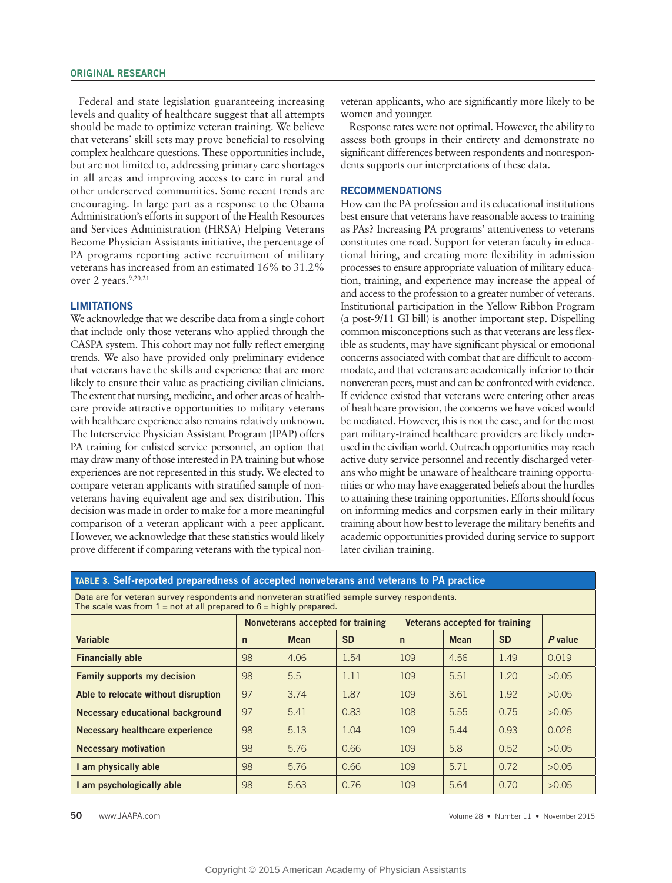Federal and state legislation guaranteeing increasing levels and quality of healthcare suggest that all attempts should be made to optimize veteran training. We believe that veterans' skill sets may prove beneficial to resolving complex healthcare questions. These opportunities include, but are not limited to, addressing primary care shortages in all areas and improving access to care in rural and other underserved communities. Some recent trends are encouraging. In large part as a response to the Obama Administration's efforts in support of the Health Resources and Services Administration (HRSA) Helping Veterans Become Physician Assistants initiative, the percentage of PA programs reporting active recruitment of military veterans has increased from an estimated 16% to 31.2% over 2 years.<sup>9,20,21</sup>

#### **LIMITATIONS**

We acknowledge that we describe data from a single cohort that include only those veterans who applied through the CASPA system. This cohort may not fully reflect emerging trends. We also have provided only preliminary evidence that veterans have the skills and experience that are more likely to ensure their value as practicing civilian clinicians. The extent that nursing, medicine, and other areas of healthcare provide attractive opportunities to military veterans with healthcare experience also remains relatively unknown. The Interservice Physician Assistant Program (IPAP) offers PA training for enlisted service personnel, an option that may draw many of those interested in PA training but whose experiences are not represented in this study. We elected to compare veteran applicants with stratified sample of nonveterans having equivalent age and sex distribution. This decision was made in order to make for a more meaningful comparison of a veteran applicant with a peer applicant. However, we acknowledge that these statistics would likely prove different if comparing veterans with the typical nonveteran applicants, who are significantly more likely to be women and younger.

Response rates were not optimal. However, the ability to assess both groups in their entirety and demonstrate no significant differences between respondents and nonrespondents supports our interpretations of these data.

## **RECOMMENDATIONS**

How can the PA profession and its educational institutions best ensure that veterans have reasonable access to training as PAs? Increasing PA programs' attentiveness to veterans constitutes one road. Support for veteran faculty in educational hiring, and creating more flexibility in admission processes to ensure appropriate valuation of military education, training, and experience may increase the appeal of and access to the profession to a greater number of veterans. Institutional participation in the Yellow Ribbon Program (a post-9/11 GI bill) is another important step. Dispelling common misconceptions such as that veterans are less flexible as students, may have significant physical or emotional concerns associated with combat that are difficult to accommodate, and that veterans are academically inferior to their nonveteran peers, must and can be confronted with evidence. If evidence existed that veterans were entering other areas of healthcare provision, the concerns we have voiced would be mediated. However, this is not the case, and for the most part military-trained healthcare providers are likely underused in the civilian world. Outreach opportunities may reach active duty service personnel and recently discharged veterans who might be unaware of healthcare training opportunities or who may have exaggerated beliefs about the hurdles to attaining these training opportunities. Efforts should focus on informing medics and corpsmen early in their military training about how best to leverage the military benefits and academic opportunities provided during service to support later civilian training.

|  |  |  | TABLE 3. Self-reported preparedness of accepted nonveterans and veterans to PA practice |
|--|--|--|-----------------------------------------------------------------------------------------|
|--|--|--|-----------------------------------------------------------------------------------------|

Data are for veteran survey respondents and nonveteran stratified sample survey respondents. The scale was from  $1 - not$  at all prepared to  $6 -$  highly prepared.

| $\frac{1}{100}$ scale was from $\frac{1}{100}$ . $\frac{1}{100}$ at an propared to $\frac{1}{100}$ – inghily propared. |                                   |             |           |                                |             |           |         |  |
|------------------------------------------------------------------------------------------------------------------------|-----------------------------------|-------------|-----------|--------------------------------|-------------|-----------|---------|--|
|                                                                                                                        | Nonveterans accepted for training |             |           | Veterans accepted for training |             |           |         |  |
| <b>Variable</b>                                                                                                        | $\mathsf{n}$                      | <b>Mean</b> | <b>SD</b> | $\mathsf{n}$                   | <b>Mean</b> | <b>SD</b> | P value |  |
| <b>Financially able</b>                                                                                                | 98                                | 4.06        | 1.54      | 109                            | 4.56        | 1.49      | 0.019   |  |
| <b>Family supports my decision</b>                                                                                     | 98                                | 5.5         | 1.11      | 109                            | 5.51        | 1.20      | >0.05   |  |
| Able to relocate without disruption                                                                                    | 97                                | 3.74        | 1.87      | 109                            | 3.61        | 1.92      | >0.05   |  |
| Necessary educational background                                                                                       | 97                                | 5.41        | 0.83      | 108                            | 5.55        | 0.75      | >0.05   |  |
| Necessary healthcare experience                                                                                        | 98                                | 5.13        | 1.04      | 109                            | 5.44        | 0.93      | 0.026   |  |
| <b>Necessary motivation</b>                                                                                            | 98                                | 5.76        | 0.66      | 109                            | 5.8         | 0.52      | >0.05   |  |
| am physically able                                                                                                     | 98                                | 5.76        | 0.66      | 109                            | 5.71        | 0.72      | >0.05   |  |
| am psychologically able                                                                                                | 98                                | 5.63        | 0.76      | 109                            | 5.64        | 0.70      | >0.05   |  |

**50** www.JAAPA.com Volume 28 • Number 11 • November 2015